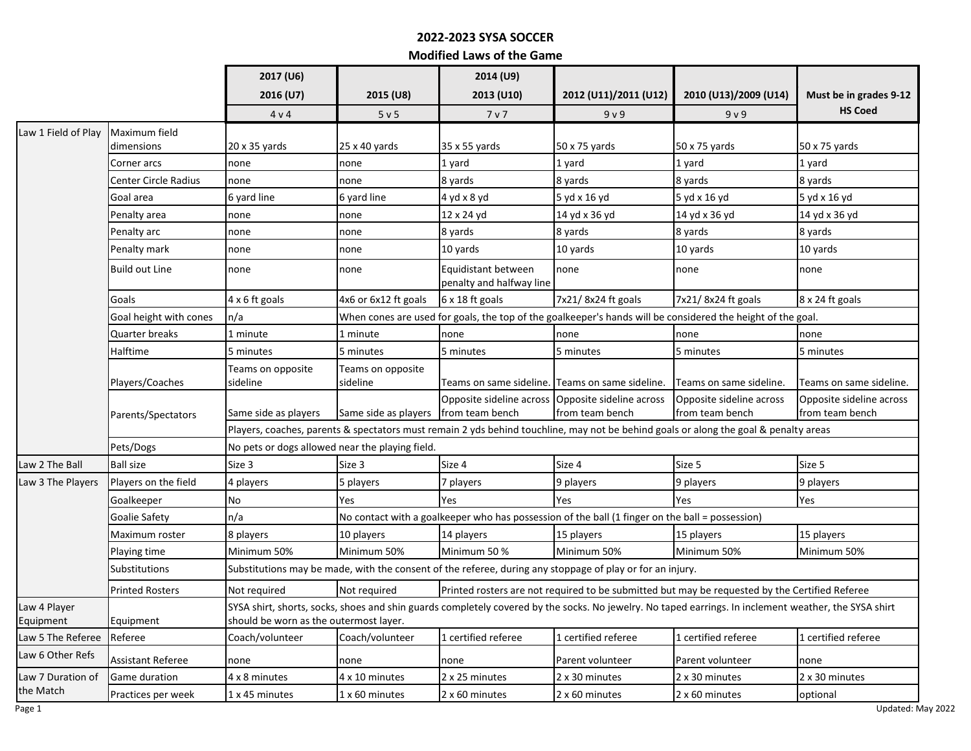## **2022-2023 SYSA SOCCER**

**Modified Laws of the Game**

|                                |                                                              | 2017 (U6)                                                                                                                                                                                       |                                                                                                                | 2014 (U9)                                       |                                                 |                                             |                                             |  |  |
|--------------------------------|--------------------------------------------------------------|-------------------------------------------------------------------------------------------------------------------------------------------------------------------------------------------------|----------------------------------------------------------------------------------------------------------------|-------------------------------------------------|-------------------------------------------------|---------------------------------------------|---------------------------------------------|--|--|
|                                |                                                              | 2016 (U7)                                                                                                                                                                                       | 2015 (U8)                                                                                                      | 2013 (U10)                                      | 2012 (U11)/2011 (U12)                           | 2010 (U13)/2009 (U14)                       | Must be in grades 9-12                      |  |  |
|                                |                                                              | 4v4                                                                                                                                                                                             | 5 <sub>v</sub> 5                                                                                               | 7 <sub>v</sub>                                  | 9 <sub>v</sub> 9                                | 9 <sub>v</sub> 9                            | <b>HS Coed</b>                              |  |  |
| Law 1 Field of Play            | Maximum field                                                |                                                                                                                                                                                                 |                                                                                                                |                                                 |                                                 |                                             |                                             |  |  |
|                                | dimensions                                                   | $20 \times 35$ yards                                                                                                                                                                            | 25x40yards                                                                                                     | 35 x 55 yards                                   | 50 x 75 yards                                   | 50 x 75 yards                               | 50 x 75 yards                               |  |  |
|                                | Corner arcs                                                  | none                                                                                                                                                                                            | none                                                                                                           | 1 yard                                          | 1 yard                                          | 1 yard                                      | 1 yard                                      |  |  |
|                                | <b>Center Circle Radius</b>                                  | none                                                                                                                                                                                            | none                                                                                                           | 8 yards                                         | 8 yards                                         | 8 yards                                     | 8 yards                                     |  |  |
|                                | Goal area                                                    | 6 yard line                                                                                                                                                                                     | 6 yard line                                                                                                    | 4 yd x 8 yd                                     | 5 yd x 16 yd                                    | 5 yd x 16 yd                                | 5 yd x 16 yd                                |  |  |
|                                | Penalty area                                                 | none                                                                                                                                                                                            | none                                                                                                           | 12 x 24 yd                                      | 14 yd x 36 yd                                   | 14 yd x 36 yd                               | 14 yd x 36 yd                               |  |  |
|                                | Penalty arc                                                  | none                                                                                                                                                                                            | none                                                                                                           | 8 yards                                         | 8 yards                                         | 8 yards                                     | 8 yards                                     |  |  |
|                                | Penalty mark                                                 | none                                                                                                                                                                                            | none                                                                                                           | 10 yards                                        | 10 yards                                        | 10 yards                                    | 10 yards                                    |  |  |
|                                | <b>Build out Line</b>                                        | none                                                                                                                                                                                            | none                                                                                                           | Equidistant between<br>penalty and halfway line | none                                            | none                                        | none                                        |  |  |
|                                | Goals                                                        | 4 x 6 ft goals                                                                                                                                                                                  | 4x6 or 6x12 ft goals                                                                                           | 6 x 18 ft goals                                 | 7x21/8x24 ft goals                              | 7x21/8x24 ft goals                          | 8 x 24 ft goals                             |  |  |
|                                | Goal height with cones                                       | n/a                                                                                                                                                                                             | When cones are used for goals, the top of the goalkeeper's hands will be considered the height of the goal.    |                                                 |                                                 |                                             |                                             |  |  |
|                                | <b>Quarter breaks</b>                                        | 1 minute                                                                                                                                                                                        | 1 minute                                                                                                       | none                                            | none                                            | none                                        | none                                        |  |  |
|                                | Halftime                                                     | 5 minutes                                                                                                                                                                                       | 5 minutes                                                                                                      | 5 minutes                                       | 5 minutes                                       | 5 minutes                                   | 5 minutes                                   |  |  |
|                                | Players/Coaches                                              | Teams on opposite<br>sideline                                                                                                                                                                   | Teams on opposite<br>sideline                                                                                  |                                                 | Teams on same sideline. Teams on same sideline. | Teams on same sideline.                     | Teams on same sideline.                     |  |  |
|                                | Parents/Spectators                                           | Same side as players                                                                                                                                                                            | Same side as players                                                                                           | Opposite sideline across<br>from team bench     | Opposite sideline across<br>from team bench     | Opposite sideline across<br>from team bench | Opposite sideline across<br>from team bench |  |  |
|                                |                                                              | Players, coaches, parents & spectators must remain 2 yds behind touchline, may not be behind goals or along the goal & penalty areas                                                            |                                                                                                                |                                                 |                                                 |                                             |                                             |  |  |
|                                | Pets/Dogs<br>No pets or dogs allowed near the playing field. |                                                                                                                                                                                                 |                                                                                                                |                                                 |                                                 |                                             |                                             |  |  |
| Law 2 The Ball                 | <b>Ball size</b>                                             | Size 3                                                                                                                                                                                          | Size 3                                                                                                         | Size 4                                          | Size 4                                          | Size 5                                      | Size 5                                      |  |  |
| Law 3 The Players              | Players on the field                                         | 4 players                                                                                                                                                                                       | 5 players                                                                                                      | 7 players                                       | 9 players                                       | 9 players                                   | 9 players                                   |  |  |
|                                | Goalkeeper                                                   | <b>No</b>                                                                                                                                                                                       | Yes                                                                                                            | Yes                                             | Yes                                             | Yes                                         | Yes                                         |  |  |
|                                | Goalie Safety                                                | n/a                                                                                                                                                                                             | No contact with a goalkeeper who has possession of the ball (1 finger on the ball = possession)                |                                                 |                                                 |                                             |                                             |  |  |
|                                | Maximum roster                                               | 8 players                                                                                                                                                                                       | 10 players                                                                                                     | 14 players                                      | 15 players                                      | 15 players                                  | 15 players                                  |  |  |
|                                | Playing time                                                 | Minimum 50%                                                                                                                                                                                     | Minimum 50%                                                                                                    | Minimum 50 %                                    | Minimum 50%                                     | Minimum 50%                                 | Minimum 50%                                 |  |  |
|                                | Substitutions                                                | Substitutions may be made, with the consent of the referee, during any stoppage of play or for an injury.                                                                                       |                                                                                                                |                                                 |                                                 |                                             |                                             |  |  |
|                                | <b>Printed Rosters</b>                                       | Not required                                                                                                                                                                                    | Not required<br>Printed rosters are not required to be submitted but may be requested by the Certified Referee |                                                 |                                                 |                                             |                                             |  |  |
| Law 4 Player<br>Equipment      | Equipment                                                    | SYSA shirt, shorts, socks, shoes and shin guards completely covered by the socks. No jewelry. No taped earrings. In inclement weather, the SYSA shirt<br>should be worn as the outermost layer. |                                                                                                                |                                                 |                                                 |                                             |                                             |  |  |
| Law 5 The Referee              | Referee                                                      | Coach/volunteer                                                                                                                                                                                 | Coach/volunteer                                                                                                | 1 certified referee                             | 1 certified referee                             | 1 certified referee                         | 1 certified referee                         |  |  |
| Law 6 Other Refs               | <b>Assistant Referee</b>                                     | none                                                                                                                                                                                            | none                                                                                                           | none                                            | Parent volunteer                                | Parent volunteer                            | none                                        |  |  |
| Law 7 Duration of<br>the Match | Game duration                                                | 4 x 8 minutes                                                                                                                                                                                   | 4 x 10 minutes                                                                                                 | 2 x 25 minutes                                  | 2 x 30 minutes                                  | 2 x 30 minutes                              | 2 x 30 minutes                              |  |  |
|                                | Practices per week                                           | 1 x 45 minutes                                                                                                                                                                                  | 1 x 60 minutes                                                                                                 | 2 x 60 minutes                                  | 2 x 60 minutes                                  | 2 x 60 minutes                              | optional                                    |  |  |